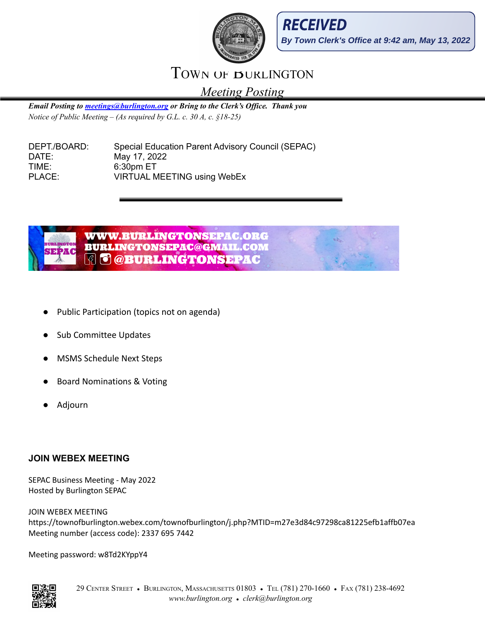



## TOWN OF BURLINGTON

*Meeting Posting*

*Email Posting to [meetings@burlington.org](mailto:meetings@burlington.org) or Bring to the Clerk's Of ice. Thank you Notice of Public Meeting – (As required by G.L. c. 30 A, c. §18-25)*

DEPT./BOARD: Special Education Parent Advisory Council (SEPAC) DATE: May 17, 2022 TIME: 6:30pm ET PLACE: VIRTUAL MEETING using WebEx



- Public Participation (topics not on agenda)
- **Sub Committee Updates**
- **MSMS Schedule Next Steps**
- Board Nominations & Voting
- Adjourn

## **JOIN WEBEX MEETING**

SEPAC Business Meeting - May 2022 Hosted by Burlington SEPAC

JOIN WEBEX MEETING https://townofburlington.webex.com/townofburlington/j.php?MTID=m27e3d84c97298ca81225efb1affb07ea Meeting number (access code): 2337 695 7442

Meeting password: w8Td2KYppY4